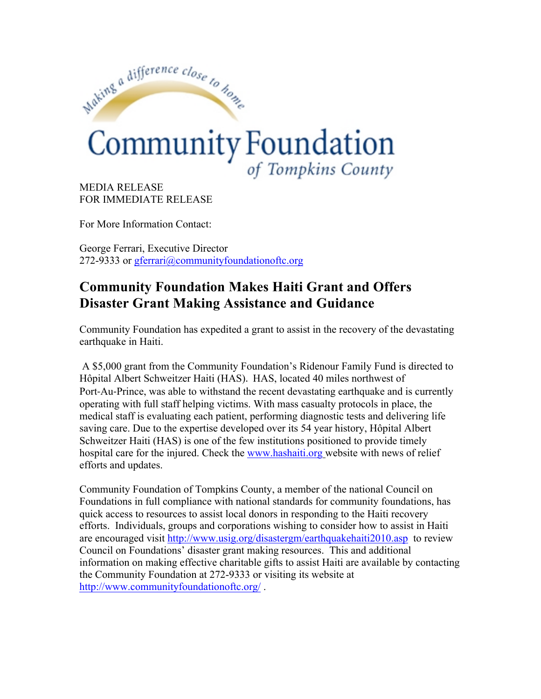

MEDIA RELEASE FOR IMMEDIATE RELEASE

For More Information Contact:

George Ferrari, Executive Director 272-9333 or gferrari@communityfoundationoftc.org

## **Community Foundation Makes Haiti Grant and Offers Disaster Grant Making Assistance and Guidance**

Community Foundation has expedited a grant to assist in the recovery of the devastating earthquake in Haiti.

A \$5,000 grant from the Community Foundation's Ridenour Family Fund is directed to Hôpital Albert Schweitzer Haiti (HAS). HAS, located 40 miles northwest of Port-Au-Prince, was able to withstand the recent devastating earthquake and is currently operating with full staff helping victims. With mass casualty protocols in place, the medical staff is evaluating each patient, performing diagnostic tests and delivering life saving care. Due to the expertise developed over its 54 year history, Hôpital Albert Schweitzer Haiti (HAS) is one of the few institutions positioned to provide timely hospital care for the injured. Check the www.hashaiti.org website with news of relief efforts and updates.

Community Foundation of Tompkins County, a member of the national Council on Foundations in full compliance with national standards for community foundations, has quick access to resources to assist local donors in responding to the Haiti recovery efforts. Individuals, groups and corporations wishing to consider how to assist in Haiti are encouraged visit http://www.usig.org/disastergm/earthquakehaiti2010.asp to review Council on Foundations' disaster grant making resources. This and additional information on making effective charitable gifts to assist Haiti are available by contacting the Community Foundation at 272-9333 or visiting its website at http://www.communityfoundationoftc.org/ .